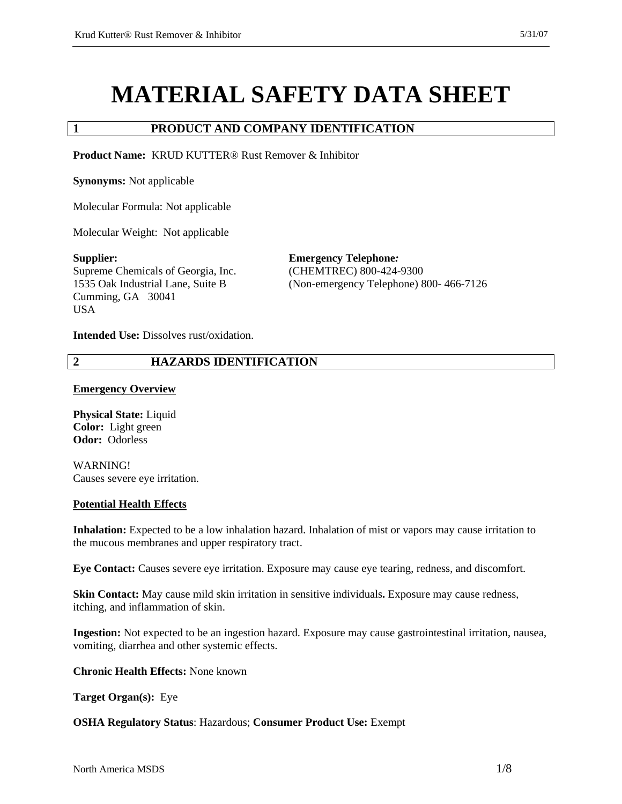# **MATERIAL SAFETY DATA SHEET**

## **1 PRODUCT AND COMPANY IDENTIFICATION**

**Product Name:** KRUD KUTTER® Rust Remover & Inhibitor

**Synonyms:** Not applicable

Molecular Formula: Not applicable

Molecular Weight: Not applicable

**Supplier:**  Supreme Chemicals of Georgia, Inc. 1535 Oak Industrial Lane, Suite B Cumming, GA 30041 **USA** 

**Emergency Telephone***:*  (CHEMTREC) 800-424-9300 (Non-emergency Telephone) 800- 466-7126

**Intended Use:** Dissolves rust/oxidation.

#### **2 HAZARDS IDENTIFICATION**

#### **Emergency Overview**

**Physical State:** Liquid **Color:** Light green **Odor:** Odorless

WARNING! Causes severe eye irritation.

#### **Potential Health Effects**

**Inhalation:** Expected to be a low inhalation hazard. Inhalation of mist or vapors may cause irritation to the mucous membranes and upper respiratory tract.

**Eye Contact:** Causes severe eye irritation. Exposure may cause eye tearing, redness, and discomfort.

**Skin Contact:** May cause mild skin irritation in sensitive individuals**.** Exposure may cause redness, itching, and inflammation of skin.

**Ingestion:** Not expected to be an ingestion hazard. Exposure may cause gastrointestinal irritation, nausea, vomiting, diarrhea and other systemic effects.

**Chronic Health Effects:** None known

**Target Organ(s):** Eye

**OSHA Regulatory Status**: Hazardous; **Consumer Product Use:** Exempt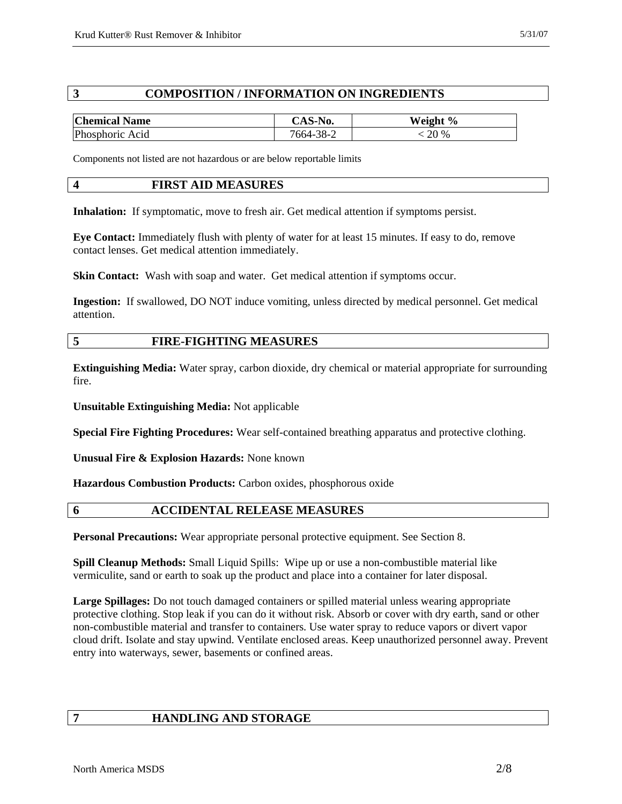## **3 COMPOSITION / INFORMATION ON INGREDIENTS**

| <b>Chemical Name</b> | CAS-No.   | Weight % |
|----------------------|-----------|----------|
| Phosphoric Acid      | 7664-38-2 | 20 %     |

Components not listed are not hazardous or are below reportable limits

#### **4 FIRST AID MEASURES**

**Inhalation:** If symptomatic, move to fresh air. Get medical attention if symptoms persist.

**Eye Contact:** Immediately flush with plenty of water for at least 15 minutes. If easy to do, remove contact lenses. Get medical attention immediately.

**Skin Contact:** Wash with soap and water. Get medical attention if symptoms occur.

**Ingestion:** If swallowed, DO NOT induce vomiting, unless directed by medical personnel. Get medical attention.

## **5 FIRE-FIGHTING MEASURES**

**Extinguishing Media:** Water spray, carbon dioxide, dry chemical or material appropriate for surrounding fire.

**Unsuitable Extinguishing Media:** Not applicable

**Special Fire Fighting Procedures:** Wear self-contained breathing apparatus and protective clothing.

**Unusual Fire & Explosion Hazards:** None known

**Hazardous Combustion Products:** Carbon oxides, phosphorous oxide

#### **6 ACCIDENTAL RELEASE MEASURES**

**Personal Precautions:** Wear appropriate personal protective equipment. See Section 8.

**Spill Cleanup Methods:** Small Liquid Spills: Wipe up or use a non-combustible material like vermiculite, sand or earth to soak up the product and place into a container for later disposal.

**Large Spillages:** Do not touch damaged containers or spilled material unless wearing appropriate protective clothing. Stop leak if you can do it without risk. Absorb or cover with dry earth, sand or other non-combustible material and transfer to containers. Use water spray to reduce vapors or divert vapor cloud drift. Isolate and stay upwind. Ventilate enclosed areas. Keep unauthorized personnel away. Prevent entry into waterways, sewer, basements or confined areas.

# **7 HANDLING AND STORAGE**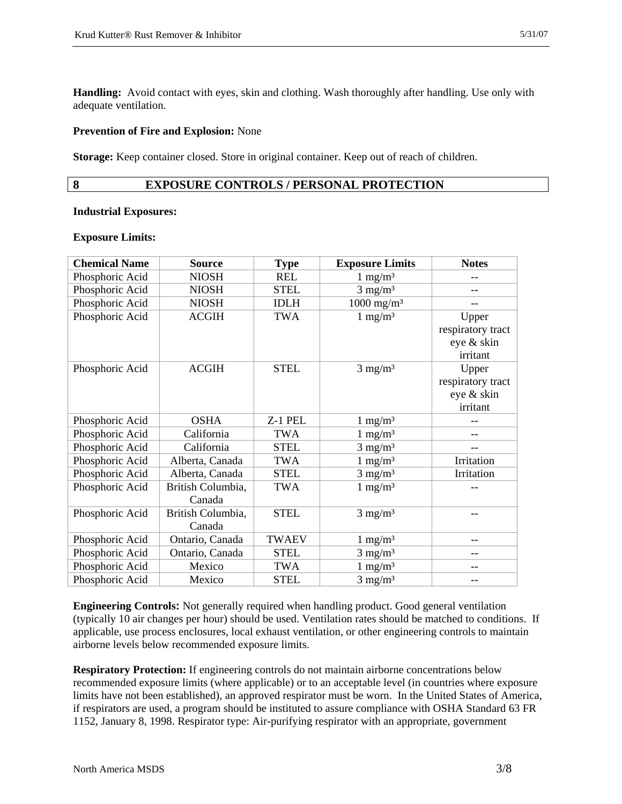**Handling:** Avoid contact with eyes, skin and clothing. Wash thoroughly after handling. Use only with adequate ventilation.

#### **Prevention of Fire and Explosion:** None

**Storage:** Keep container closed. Store in original container. Keep out of reach of children.

#### **8 EXPOSURE CONTROLS / PERSONAL PROTECTION**

#### **Industrial Exposures:**

#### **Exposure Limits:**

| <b>Chemical Name</b> | <b>Source</b>     | <b>Type</b>  | <b>Exposure Limits</b> | <b>Notes</b>      |
|----------------------|-------------------|--------------|------------------------|-------------------|
| Phosphoric Acid      | <b>NIOSH</b>      | REL          | $1 \text{ mg/m}^3$     |                   |
| Phosphoric Acid      | <b>NIOSH</b>      | <b>STEL</b>  | $3 \text{ mg/m}^3$     |                   |
| Phosphoric Acid      | <b>NIOSH</b>      | <b>IDLH</b>  | $1000 \text{ mg/m}^3$  |                   |
| Phosphoric Acid      | <b>ACGIH</b>      | <b>TWA</b>   | $1 \text{ mg/m}^3$     | Upper             |
|                      |                   |              |                        | respiratory tract |
|                      |                   |              |                        | eye & skin        |
|                      |                   |              |                        | irritant          |
| Phosphoric Acid      | <b>ACGIH</b>      | <b>STEL</b>  | $3$ mg/m $3$           | Upper             |
|                      |                   |              |                        | respiratory tract |
|                      |                   |              |                        | eye & skin        |
|                      |                   |              |                        | irritant          |
| Phosphoric Acid      | <b>OSHA</b>       | Z-1 PEL      | $1 \text{ mg/m}^3$     |                   |
| Phosphoric Acid      | California        | <b>TWA</b>   | $1 \text{ mg/m}^3$     | --                |
| Phosphoric Acid      | California        | <b>STEL</b>  | $3$ mg/m <sup>3</sup>  | $-$               |
| Phosphoric Acid      | Alberta, Canada   | <b>TWA</b>   | $1 \text{ mg/m}^3$     | Irritation        |
| Phosphoric Acid      | Alberta, Canada   | <b>STEL</b>  | $3$ mg/m <sup>3</sup>  | Irritation        |
| Phosphoric Acid      | British Columbia, | <b>TWA</b>   | $1 \text{ mg/m}^3$     |                   |
|                      | Canada            |              |                        |                   |
| Phosphoric Acid      | British Columbia, | <b>STEL</b>  | $3$ mg/m <sup>3</sup>  | --                |
|                      | Canada            |              |                        |                   |
| Phosphoric Acid      | Ontario, Canada   | <b>TWAEV</b> | $1 \text{ mg/m}^3$     | $- -$             |
| Phosphoric Acid      | Ontario, Canada   | <b>STEL</b>  | $3 \text{ mg/m}^3$     | --                |
| Phosphoric Acid      | Mexico            | <b>TWA</b>   | $1 \text{ mg/m}^3$     | $-$               |
| Phosphoric Acid      | Mexico            | <b>STEL</b>  | $3 \text{ mg/m}^3$     | --                |

**Engineering Controls:** Not generally required when handling product. Good general ventilation (typically 10 air changes per hour) should be used. Ventilation rates should be matched to conditions. If applicable, use process enclosures, local exhaust ventilation, or other engineering controls to maintain airborne levels below recommended exposure limits.

**Respiratory Protection:** If engineering controls do not maintain airborne concentrations below recommended exposure limits (where applicable) or to an acceptable level (in countries where exposure limits have not been established), an approved respirator must be worn. In the United States of America, if respirators are used, a program should be instituted to assure compliance with OSHA Standard 63 FR 1152, January 8, 1998. Respirator type: Air-purifying respirator with an appropriate, government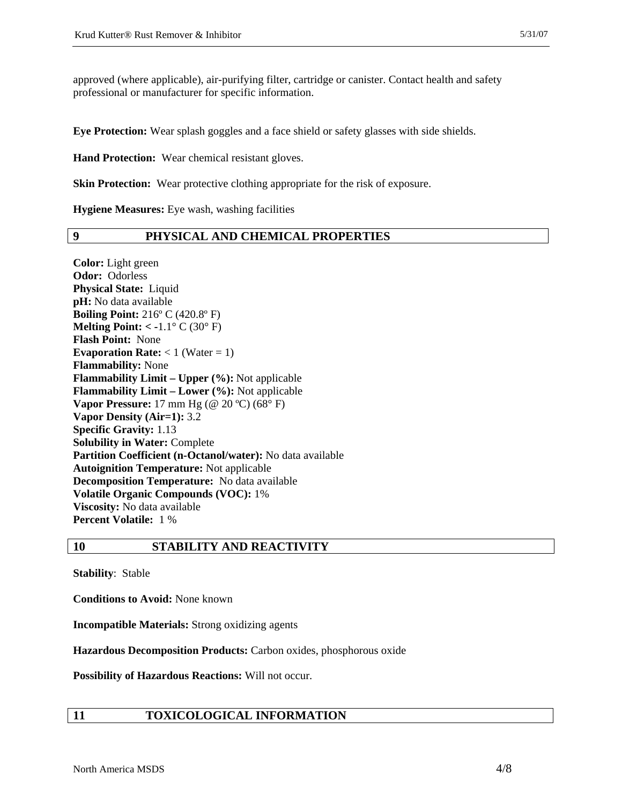approved (where applicable), air-purifying filter, cartridge or canister. Contact health and safety professional or manufacturer for specific information.

**Eye Protection:** Wear splash goggles and a face shield or safety glasses with side shields.

**Hand Protection:** Wear chemical resistant gloves.

**Skin Protection:** Wear protective clothing appropriate for the risk of exposure.

**Hygiene Measures:** Eye wash, washing facilities

#### **9 PHYSICAL AND CHEMICAL PROPERTIES**

**Color:** Light green **Odor:** Odorless **Physical State:** Liquid **pH:** No data available **Boiling Point:** 216º C (420.8º F) **Melting Point: < -**1.1° C (30° F) **Flash Point:** None **Evaporation Rate:**  $<$  1 (Water = 1) **Flammability:** None **Flammability Limit – Upper (%):** Not applicable **Flammability Limit – Lower (%):** Not applicable **Vapor Pressure:** 17 mm Hg (@ 20 ºC) (68° F) **Vapor Density (Air=1):** 3.2 **Specific Gravity:** 1.13 **Solubility in Water:** Complete **Partition Coefficient (n-Octanol/water):** No data available **Autoignition Temperature:** Not applicable **Decomposition Temperature:** No data available **Volatile Organic Compounds (VOC):** 1% **Viscosity:** No data available **Percent Volatile:** 1 %

**10 STABILITY AND REACTIVITY** 

**Stability**: Stable

**Conditions to Avoid:** None known

**Incompatible Materials:** Strong oxidizing agents

**Hazardous Decomposition Products:** Carbon oxides, phosphorous oxide

**Possibility of Hazardous Reactions:** Will not occur.

# **11 TOXICOLOGICAL INFORMATION**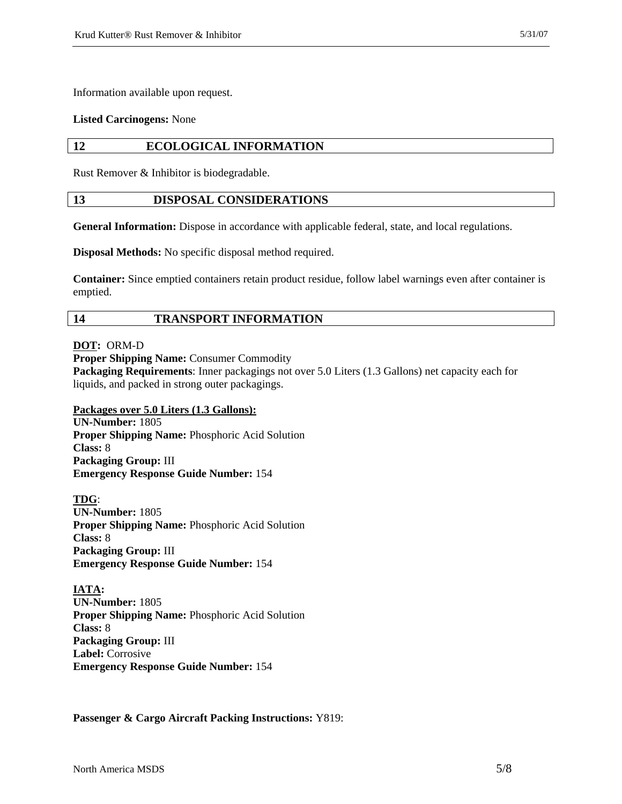Information available upon request.

#### **Listed Carcinogens:** None

#### **12 ECOLOGICAL INFORMATION**

Rust Remover & Inhibitor is biodegradable.

#### **13 DISPOSAL CONSIDERATIONS**

General Information: Dispose in accordance with applicable federal, state, and local regulations.

**Disposal Methods:** No specific disposal method required.

**Container:** Since emptied containers retain product residue, follow label warnings even after container is emptied.

#### **14 TRANSPORT INFORMATION**

**DOT:** ORM-D

**Proper Shipping Name: Consumer Commodity** 

**Packaging Requirements**: Inner packagings not over 5.0 Liters (1.3 Gallons) net capacity each for liquids, and packed in strong outer packagings.

**Packages over 5.0 Liters (1.3 Gallons): UN-Number:** 1805 **Proper Shipping Name:** Phosphoric Acid Solution **Class:** 8 **Packaging Group:** III **Emergency Response Guide Number:** 154

**TDG**: **UN-Number:** 1805 **Proper Shipping Name:** Phosphoric Acid Solution **Class:** 8 **Packaging Group:** III **Emergency Response Guide Number:** 154

**IATA: UN-Number:** 1805 **Proper Shipping Name:** Phosphoric Acid Solution **Class:** 8 **Packaging Group:** III **Label:** Corrosive **Emergency Response Guide Number:** 154

**Passenger & Cargo Aircraft Packing Instructions:** Y819: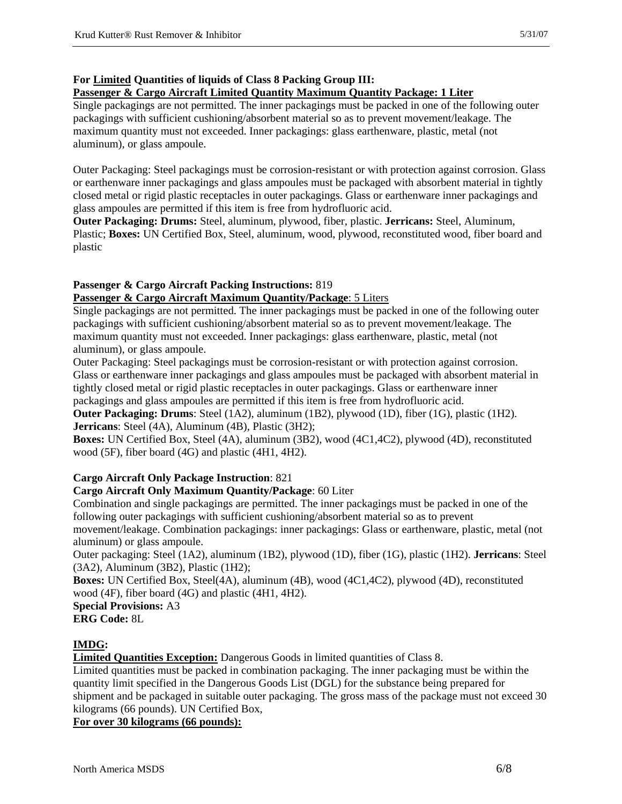# **For Limited Quantities of liquids of Class 8 Packing Group III:**

## **Passenger & Cargo Aircraft Limited Quantity Maximum Quantity Package: 1 Liter**

Single packagings are not permitted. The inner packagings must be packed in one of the following outer packagings with sufficient cushioning/absorbent material so as to prevent movement/leakage. The maximum quantity must not exceeded. Inner packagings: glass earthenware, plastic, metal (not aluminum), or glass ampoule.

Outer Packaging: Steel packagings must be corrosion-resistant or with protection against corrosion. Glass or earthenware inner packagings and glass ampoules must be packaged with absorbent material in tightly closed metal or rigid plastic receptacles in outer packagings. Glass or earthenware inner packagings and glass ampoules are permitted if this item is free from hydrofluoric acid.

**Outer Packaging: Drums:** Steel, aluminum, plywood, fiber, plastic. **Jerricans:** Steel, Aluminum, Plastic; **Boxes:** UN Certified Box, Steel, aluminum, wood, plywood, reconstituted wood, fiber board and plastic

## **Passenger & Cargo Aircraft Packing Instructions:** 819 **Passenger & Cargo Aircraft Maximum Quantity/Package**: 5 Liters

# Single packagings are not permitted. The inner packagings must be packed in one of the following outer packagings with sufficient cushioning/absorbent material so as to prevent movement/leakage. The maximum quantity must not exceeded. Inner packagings: glass earthenware, plastic, metal (not

aluminum), or glass ampoule.

Outer Packaging: Steel packagings must be corrosion-resistant or with protection against corrosion. Glass or earthenware inner packagings and glass ampoules must be packaged with absorbent material in tightly closed metal or rigid plastic receptacles in outer packagings. Glass or earthenware inner packagings and glass ampoules are permitted if this item is free from hydrofluoric acid.

**Outer Packaging: Drums**: Steel (1A2), aluminum (1B2), plywood (1D), fiber (1G), plastic (1H2). **Jerricans**: Steel (4A), Aluminum (4B), Plastic (3H2);

**Boxes:** UN Certified Box, Steel (4A), aluminum (3B2), wood (4C1,4C2), plywood (4D), reconstituted wood (5F), fiber board (4G) and plastic (4H1, 4H2).

# **Cargo Aircraft Only Package Instruction**: 821

# **Cargo Aircraft Only Maximum Quantity/Package**: 60 Liter

Combination and single packagings are permitted. The inner packagings must be packed in one of the following outer packagings with sufficient cushioning/absorbent material so as to prevent

movement/leakage. Combination packagings: inner packagings: Glass or earthenware, plastic, metal (not aluminum) or glass ampoule.

Outer packaging: Steel (1A2), aluminum (1B2), plywood (1D), fiber (1G), plastic (1H2). **Jerricans**: Steel (3A2), Aluminum (3B2), Plastic (1H2);

**Boxes:** UN Certified Box, Steel(4A), aluminum (4B), wood (4C1,4C2), plywood (4D), reconstituted wood (4F), fiber board (4G) and plastic (4H1, 4H2).

**Special Provisions:** A3 **ERG Code:** 8L

# **IMDG:**

**Limited Quantities Exception:** Dangerous Goods in limited quantities of Class 8.

Limited quantities must be packed in combination packaging. The inner packaging must be within the quantity limit specified in the Dangerous Goods List (DGL) for the substance being prepared for shipment and be packaged in suitable outer packaging. The gross mass of the package must not exceed 30 kilograms (66 pounds). UN Certified Box,

**For over 30 kilograms (66 pounds):**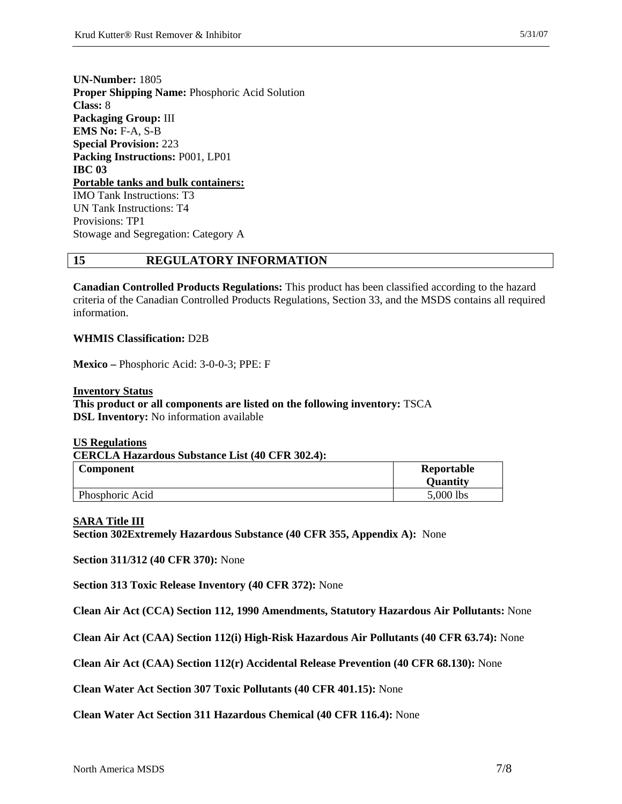**UN-Number:** 1805 **Proper Shipping Name:** Phosphoric Acid Solution **Class:** 8 **Packaging Group:** III **EMS No:** F-A, S-B **Special Provision:** 223 **Packing Instructions:** P001, LP01 **IBC 03 Portable tanks and bulk containers:**  IMO Tank Instructions: T3 UN Tank Instructions: T4 Provisions: TP1 Stowage and Segregation: Category A

#### **15 REGULATORY INFORMATION**

**Canadian Controlled Products Regulations:** This product has been classified according to the hazard criteria of the Canadian Controlled Products Regulations, Section 33, and the MSDS contains all required information.

#### **WHMIS Classification:** D2B

**Mexico –** Phosphoric Acid: 3-0-0-3; PPE: F

**Inventory Status This product or all components are listed on the following inventory:** TSCA **DSL Inventory:** No information available

| <b>US Regulations</b>                                  |                 |  |  |
|--------------------------------------------------------|-----------------|--|--|
| <b>CERCLA Hazardous Substance List (40 CFR 302.4):</b> |                 |  |  |
| <b>Component</b>                                       | Reportable      |  |  |
|                                                        | <b>Quantity</b> |  |  |
| Phosphoric Acid                                        | 5,000 lbs       |  |  |

#### **SARA Title III**

**Section 302Extremely Hazardous Substance (40 CFR 355, Appendix A):** None

**Section 311/312 (40 CFR 370):** None

**Section 313 Toxic Release Inventory (40 CFR 372):** None

**Clean Air Act (CCA) Section 112, 1990 Amendments, Statutory Hazardous Air Pollutants:** None

**Clean Air Act (CAA) Section 112(i) High-Risk Hazardous Air Pollutants (40 CFR 63.74):** None

**Clean Air Act (CAA) Section 112(r) Accidental Release Prevention (40 CFR 68.130):** None

**Clean Water Act Section 307 Toxic Pollutants (40 CFR 401.15):** None

**Clean Water Act Section 311 Hazardous Chemical (40 CFR 116.4):** None